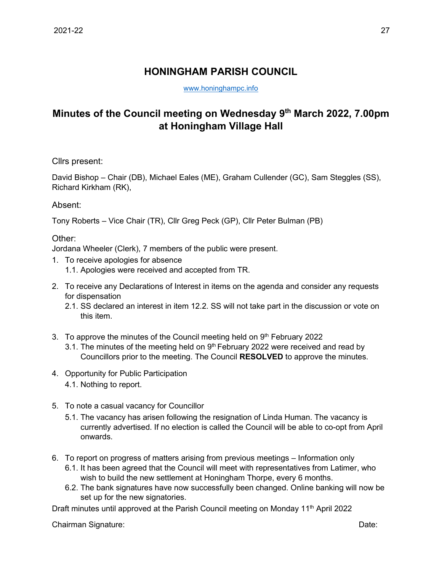## **HONINGHAM PARISH COUNCIL**

[www.honinghampc.info](http://www.honinghampc.info/)

## **Minutes of the Council meeting on Wednesday 9 th March 2022, 7.00pm at Honingham Village Hall**

Cllrs present:

David Bishop – Chair (DB), Michael Eales (ME), Graham Cullender (GC), Sam Steggles (SS), Richard Kirkham (RK),

Absent:

Tony Roberts – Vice Chair (TR), Cllr Greg Peck (GP), Cllr Peter Bulman (PB)

Other:

Jordana Wheeler (Clerk), 7 members of the public were present.

- 1. To receive apologies for absence 1.1. Apologies were received and accepted from TR.
- 2. To receive any Declarations of Interest in items on the agenda and consider any requests for dispensation
	- 2.1. SS declared an interest in item 12.2. SS will not take part in the discussion or vote on this item.
- 3. To approve the minutes of the Council meeting held on 9<sup>th</sup> February 2022
	- 3.1. The minutes of the meeting held on  $9<sup>th</sup>$  February 2022 were received and read by Councillors prior to the meeting. The Council **RESOLVED** to approve the minutes.
- 4. Opportunity for Public Participation
	- 4.1. Nothing to report.
- 5. To note a casual vacancy for Councillor
	- 5.1. The vacancy has arisen following the resignation of Linda Human. The vacancy is currently advertised. If no election is called the Council will be able to co-opt from April onwards.
- 6. To report on progress of matters arising from previous meetings Information only
	- 6.1. It has been agreed that the Council will meet with representatives from Latimer, who wish to build the new settlement at Honingham Thorpe, every 6 months.
	- 6.2. The bank signatures have now successfully been changed. Online banking will now be set up for the new signatories.

Draft minutes until approved at the Parish Council meeting on Monday 11<sup>th</sup> April 2022

Chairman Signature: Date: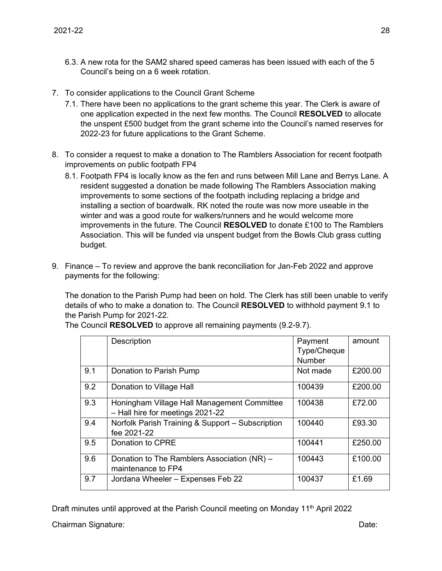- 6.3. A new rota for the SAM2 shared speed cameras has been issued with each of the 5 Council's being on a 6 week rotation.
- 7. To consider applications to the Council Grant Scheme
	- 7.1. There have been no applications to the grant scheme this year. The Clerk is aware of one application expected in the next few months. The Council **RESOLVED** to allocate the unspent £500 budget from the grant scheme into the Council's named reserves for 2022-23 for future applications to the Grant Scheme.
- 8. To consider a request to make a donation to The Ramblers Association for recent footpath improvements on public footpath FP4
	- 8.1. Footpath FP4 is locally know as the fen and runs between Mill Lane and Berrys Lane. A resident suggested a donation be made following The Ramblers Association making improvements to some sections of the footpath including replacing a bridge and installing a section of boardwalk. RK noted the route was now more useable in the winter and was a good route for walkers/runners and he would welcome more improvements in the future. The Council **RESOLVED** to donate £100 to The Ramblers Association. This will be funded via unspent budget from the Bowls Club grass cutting budget.
- 9. Finance To review and approve the bank reconciliation for Jan-Feb 2022 and approve payments for the following:

The donation to the Parish Pump had been on hold. The Clerk has still been unable to verify details of who to make a donation to. The Council **RESOLVED** to withhold payment 9.1 to the Parish Pump for 2021-22.

|     | Description                                                                     | Payment<br>Type/Cheque<br><b>Number</b> | amount  |
|-----|---------------------------------------------------------------------------------|-----------------------------------------|---------|
| 9.1 | Donation to Parish Pump                                                         | Not made                                | £200.00 |
| 9.2 | Donation to Village Hall                                                        | 100439                                  | £200.00 |
| 9.3 | Honingham Village Hall Management Committee<br>- Hall hire for meetings 2021-22 | 100438                                  | £72.00  |
| 9.4 | Norfolk Parish Training & Support - Subscription<br>fee 2021-22                 | 100440                                  | £93.30  |
| 9.5 | Donation to CPRE                                                                | 100441                                  | £250.00 |
| 9.6 | Donation to The Ramblers Association (NR) -<br>maintenance to FP4               | 100443                                  | £100.00 |
| 9.7 | Jordana Wheeler - Expenses Feb 22                                               | 100437                                  | £1.69   |

The Council **RESOLVED** to approve all remaining payments (9.2-9.7).

Draft minutes until approved at the Parish Council meeting on Monday 11<sup>th</sup> April 2022

Chairman Signature: Date: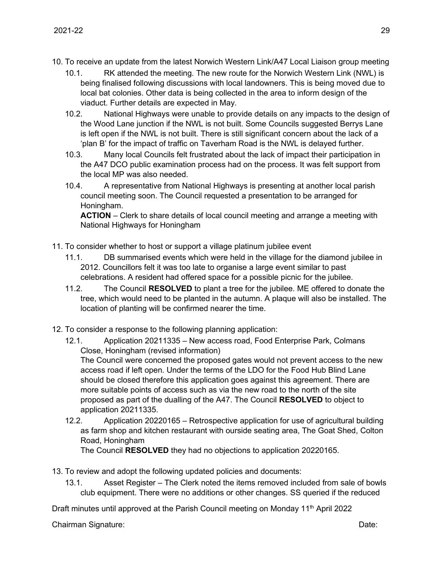- 10. To receive an update from the latest Norwich Western Link/A47 Local Liaison group meeting
	- 10.1. RK attended the meeting. The new route for the Norwich Western Link (NWL) is being finalised following discussions with local landowners. This is being moved due to local bat colonies. Other data is being collected in the area to inform design of the viaduct. Further details are expected in May.
	- 10.2. National Highways were unable to provide details on any impacts to the design of the Wood Lane junction if the NWL is not built. Some Councils suggested Berrys Lane is left open if the NWL is not built. There is still significant concern about the lack of a 'plan B' for the impact of traffic on Taverham Road is the NWL is delayed further.
	- 10.3. Many local Councils felt frustrated about the lack of impact their participation in the A47 DCO public examination process had on the process. It was felt support from the local MP was also needed.
	- 10.4. A representative from National Highways is presenting at another local parish council meeting soon. The Council requested a presentation to be arranged for Honingham.

**ACTION** – Clerk to share details of local council meeting and arrange a meeting with National Highways for Honingham

- 11. To consider whether to host or support a village platinum jubilee event
	- 11.1. DB summarised events which were held in the village for the diamond jubilee in 2012. Councillors felt it was too late to organise a large event similar to past celebrations. A resident had offered space for a possible picnic for the jubilee.
	- 11.2. The Council **RESOLVED** to plant a tree for the jubilee. ME offered to donate the tree, which would need to be planted in the autumn. A plaque will also be installed. The location of planting will be confirmed nearer the time.
- 12. To consider a response to the following planning application:
	- 12.1. Application 20211335 New access road, Food Enterprise Park, Colmans Close, Honingham (revised information)

The Council were concerned the proposed gates would not prevent access to the new access road if left open. Under the terms of the LDO for the Food Hub Blind Lane should be closed therefore this application goes against this agreement. There are more suitable points of access such as via the new road to the north of the site proposed as part of the dualling of the A47. The Council **RESOLVED** to object to application 20211335.

12.2. Application 20220165 – Retrospective application for use of agricultural building as farm shop and kitchen restaurant with ourside seating area, The Goat Shed, Colton Road, Honingham

The Council **RESOLVED** they had no objections to application 20220165.

- 13. To review and adopt the following updated policies and documents:
	- 13.1. Asset Register The Clerk noted the items removed included from sale of bowls club equipment. There were no additions or other changes. SS queried if the reduced

Draft minutes until approved at the Parish Council meeting on Monday 11<sup>th</sup> April 2022

Chairman Signature: Date: